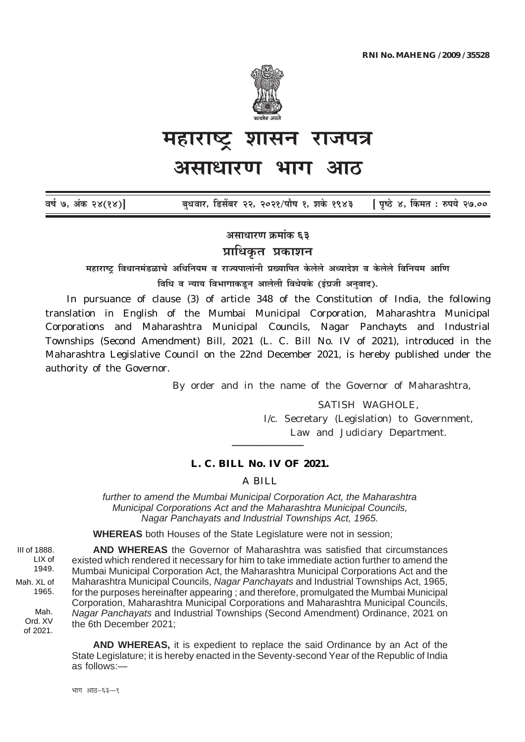

# शासन राजपत्र महाराष्ट असाधारण भाग

[ पृष्ठे ४, किंमत : रुपये २७.०० वर्ष ७, अंक २४(१४)] बधवार, डिसेंबर २२, २०२१/पौष १, शके १९४३

असाधारण क्रमांक ६३

प्राधिकत प्रकाशन

महाराष्ट विधानमंडळाचे अधिनियम व राज्यपालांनी प्रख्यापित केलेले अध्यादेश व केलेले विनियम आणि विधि व न्याय विभागाकडून आलेली विधेयके (इंग्रजी अनुवाद).

In pursuance of clause  $(3)$  of article 348 of the Constitution of India, the following translation in English of the Mumbai Municipal Corporation, Maharashtra Municipal Corporations and Maharashtra Municipal Councils, Nagar Panchayts and Industrial Townships (Second Amendment) Bill, 2021 (L. C. Bill No. IV of 2021), introduced in the Maharashtra Legislative Council on the 22nd December 2021, is hereby published under the authority of the Governor.

By order and in the name of the Governor of Maharashtra,

SATISH WAGHOLE. I/c. Secretary (Legislation) to Government, Law and Judiciary Department.

### L. C. BILL No. IV OF 2021.

 $A$   $BII.I$ .

further to amend the Mumbai Municipal Corporation Act, the Maharashtra Municipal Corporations Act and the Maharashtra Municipal Councils. Nagar Panchavats and Industrial Townships Act. 1965.

**WHEREAS** both Houses of the State Legislature were not in session;

AND WHEREAS the Governor of Maharashtra was satisfied that circumstances existed which rendered it necessary for him to take immediate action further to amend the Mumbai Municipal Corporation Act, the Maharashtra Municipal Corporations Act and the Maharashtra Municipal Councils, Nagar Panchavats and Industrial Townships Act. 1965. for the purposes hereinafter appearing; and therefore, promulgated the Mumbai Municipal Corporation. Maharashtra Municipal Corporations and Maharashtra Municipal Councils. Nagar Panchavats and Industrial Townships (Second Amendment) Ordinance, 2021 on the 6th December 2021:

**AND WHEREAS.** it is expedient to replace the said Ordinance by an Act of the State Legislature: it is hereby enacted in the Seventy-second Year of the Republic of India  $as$  follows  $-$ 

भाग आठ-६३-१

III of 1888. LIX of 1949. Mah. XL of 1965.

Mah.

Ord, XV

of 2021.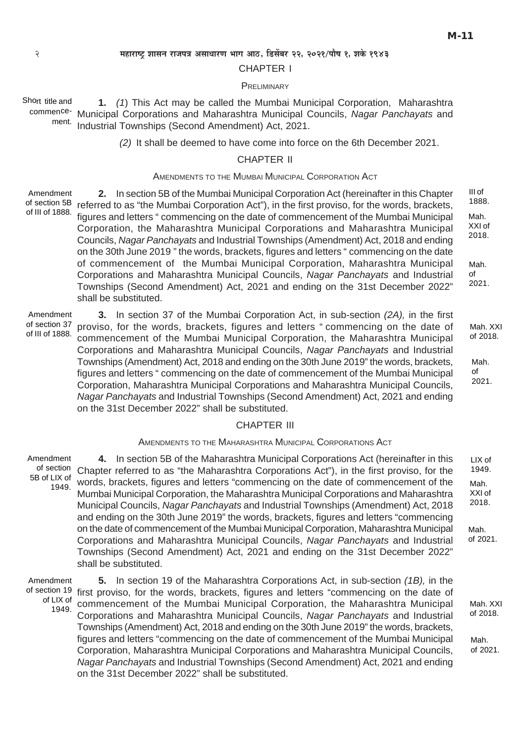### 2 **¨É½þÉ®úɹ]Åõ ¶ÉɺÉxÉ ®úÉVÉ{ÉjÉ +ºÉÉvÉÉ®úhÉ ¦ÉÉMÉ +É`öú, Êb÷ºÉå¤É®ú 22, 2021/{ÉÉè¹É 1, ¶ÉEäò 1943**

### CHAPTER I

### **PRELIMINARY**

**1.** *(1*) This Act may be called the Mumbai Municipal Corporation, Maharashtra commence- Municipal Corporations and Maharashtra Municipal Councils, Nagar Panchayats and Industrial Townships (Second Amendment) Act, 2021. Short title and ment.

*(2)* It shall be deemed to have come into force on the 6th December 2021.

## CHAPTER II

### AMENDMENTS TO THE MUMBAI MUNICIPAL CORPORATION ACT

Amendment of section 5B of III of 1888.

**2.** In section 5B of the Mumbai Municipal Corporation Act (hereinafter in this Chapter referred to as "the Mumbai Corporation Act"), in the first proviso, for the words, brackets, figures and letters " commencing on the date of commencement of the Mumbai Municipal Corporation, the Maharashtra Municipal Corporations and Maharashtra Municipal Councils, *Nagar Panchayats* and Industrial Townships (Amendment) Act, 2018 and ending on the 30th June 2019 " the words, brackets, figures and letters " commencing on the date of commencement of the Mumbai Municipal Corporation, Maharashtra Municipal Corporations and Maharashtra Municipal Councils, *Nagar Panchayats* and Industrial Townships (Second Amendment) Act, 2021 and ending on the 31st December 2022" shall be substituted. III of 1888. Mah. XXI of 2018. Mah. of 2021.

**3.** In section 37 of the Mumbai Corporation Act, in sub-section *(2A),* in the first proviso, for the words, brackets, figures and letters " commencing on the date of commencement of the Mumbai Municipal Corporation, the Maharashtra Municipal Corporations and Maharashtra Municipal Councils, *Nagar Panchayats* and Industrial Townships (Amendment) Act, 2018 and ending on the 30th June 2019" the words, brackets, figures and letters " commencing on the date of commencement of the Mumbai Municipal Corporation, Maharashtra Municipal Corporations and Maharashtra Municipal Councils, *Nagar Panchayats* and Industrial Townships (Second Amendment) Act, 2021 and ending on the 31st December 2022" shall be substituted. Amendment of section 37 of III of 1888.

### CHAPTER III

### AMENDMENTS TO THE MAHARASHTRA MUNICIPAL CORPORATIONS ACT

**4.** In section 5B of the Maharashtra Municipal Corporations Act (hereinafter in this of section Chapter referred to as "the Maharashtra Corporations Act"), in the first proviso, for the words, brackets, figures and letters "commencing on the date of commencement of the Mumbai Municipal Corporation, the Maharashtra Municipal Corporations and Maharashtra Municipal Councils, *Nagar Panchayats* and Industrial Townships (Amendment) Act, 2018 and ending on the 30th June 2019" the words, brackets, figures and letters "commencing on the date of commencement of the Mumbai Municipal Corporation, Maharashtra Municipal Corporations and Maharashtra Municipal Councils, *Nagar Panchayats* and Industrial Townships (Second Amendment) Act, 2021 and ending on the 31st December 2022" shall be substituted. Amendment 5B of LIX of 1949. LIX of 1949. Mah. XXI of 2018.

Amendment of LIX of

**5.** In section 19 of the Maharashtra Corporations Act, in sub-section *(1B),* in the of section 19 first proviso, for the words, brackets, figures and letters "commencing on the date of Lix of commencement of the Mumbai Municipal Corporation, the Maharashtra Municipal Mah. XXI<br>1949. Compressions and Maharashtra Municipal Councils, Marco Poncharate and Industrial of 2018. Corporations and Maharashtra Municipal Councils, *Nagar Panchayats* and Industrial Townships (Amendment) Act, 2018 and ending on the 30th June 2019" the words, brackets, figures and letters "commencing on the date of commencement of the Mumbai Municipal Corporation, Maharashtra Municipal Corporations and Maharashtra Municipal Councils, *Nagar Panchayats* and Industrial Townships (Second Amendment) Act, 2021 and ending on the 31st December 2022" shall be substituted.

Mah. XXI of 2018.

Mah. of 2021.

Mah.

of 2021.

of 2018.

Mah. of 2021.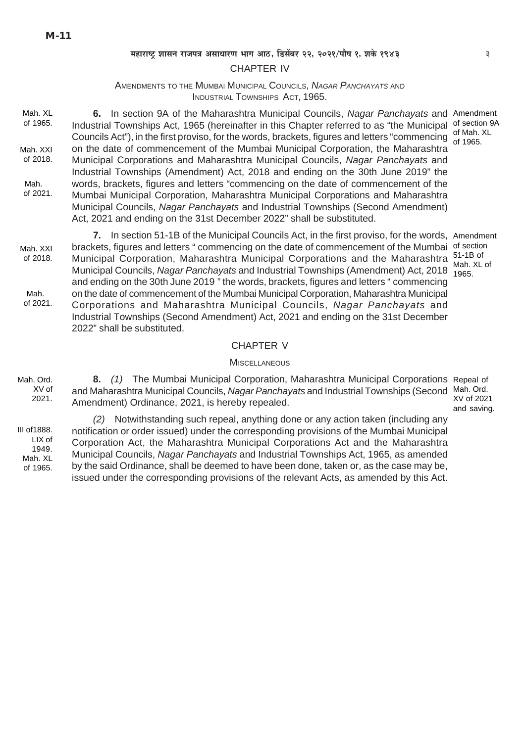### महाराष्ट्र शासन राजपत्र असाधारण भाग आठ, डिसेंबर २२, २०२१/पौष १, शके १९४३

### **CHAPTER IV**

## AMENDMENTS TO THE MUMBAI MUNICIPAL COUNCILS, NAGAR PANCHAYATS AND INDUSTRIAL TOWNSHIPS ACT, 1965.

Mah. XL 6. In section 9A of the Maharashtra Municipal Councils, Nagar Panchavats and Amendment of 1965. Industrial Townships Act, 1965 (hereinafter in this Chapter referred to as "the Municipal of section 9A Councils Act"), in the first proviso, for the words, brackets, figures and letters "commencing" of Mah. XL on the date of commencement of the Mumbai Municipal Corporation, the Maharashtra Mah XXI of 2018. Municipal Corporations and Maharashtra Municipal Councils, Nagar Panchavats and Industrial Townships (Amendment) Act, 2018 and ending on the 30th June 2019" the Mah. words, brackets, figures and letters "commencing on the date of commencement of the of 2021. Mumbai Municipal Corporation, Maharashtra Municipal Corporations and Maharashtra Municipal Councils, Nagar Panchayats and Industrial Townships (Second Amendment) Act, 2021 and ending on the 31st December 2022" shall be substituted.

7. In section 51-1B of the Municipal Councils Act, in the first proviso, for the words, Amendment brackets, figures and letters "commencing on the date of commencement of the Mumbai of section Mah XXI Municipal Corporation, Maharashtra Municipal Corporations and the Maharashtra 51-1B of<br>Municipal Councils, Nagar Panchayats and Industrial Townships (Amendment) Act, 2018 Mah. XL of of 2018. and ending on the 30th June 2019" the words, brackets, figures and letters "commencing on the date of commencement of the Mumbai Municipal Corporation, Maharashtra Municipal Mah of 2021 Corporations and Maharashtra Municipal Councils, Nagar Panchavats and Industrial Townships (Second Amendment) Act, 2021 and ending on the 31st December 2022" shall be substituted.

### CHAPTER V

#### **MISCELLANEOUS**

Mah Ord 8. (1) The Mumbai Municipal Corporation, Maharashtra Municipal Corporations Repeal of  $XV$  of and Maharashtra Municipal Councils, Nagar Panchayats and Industrial Townships (Second Mah. Ord.  $2021.$ Amendment) Ordinance, 2021, is hereby repealed.

III of 1888.  $IIX$  of 1949 Mah. XL of 1965.

(2) Notwithstanding such repeal, anything done or any action taken (including any notification or order issued) under the corresponding provisions of the Mumbai Municipal Corporation Act, the Maharashtra Municipal Corporations Act and the Maharashtra Municipal Councils, Nagar Panchayats and Industrial Townships Act, 1965, as amended by the said Ordinance, shall be deemed to have been done, taken or, as the case may be, issued under the corresponding provisions of the relevant Acts, as amended by this Act.

XV of 2021 and saving.

 $\overline{\mathbf{z}}$